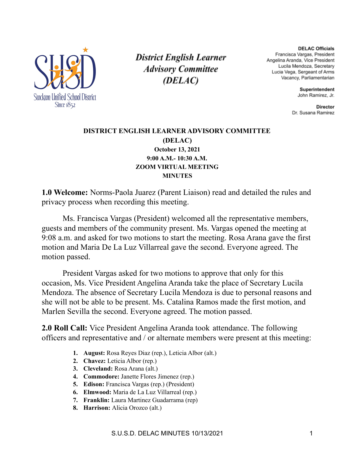

**District English Learner Advisory Committee** (DELAC)

**DELAC Officials** Francisca Vargas, President Angelina Aranda, Vice President Lucila Mendoza, Secretary Lucia Vega, Sergeant of Arms Vacancy, Parliamentarian

> Superintendent John Ramirez, Jr.

**Director** Dr. Susana Ramirez

### **DISTRICT ENGLISH LEARNER ADVISORY COMMITTEE (DELAC) October 13, 2021 9:00 A.M.- 10:30 A.M. ZOOM VIRTUAL MEETING MINUTES**

**1.0 Welcome:** Norms-Paola Juarez (Parent Liaison) read and detailed the rules and privacy process when recording this meeting.

Ms. Francisca Vargas (President) welcomed all the representative members, guests and members of the community present. Ms. Vargas opened the meeting at 9:08 a.m. and asked for two motions to start the meeting. Rosa Arana gave the first motion and Maria De La Luz Villarreal gave the second. Everyone agreed. The motion passed.

President Vargas asked for two motions to approve that only for this occasion, Ms. Vice President Angelina Aranda take the place of Secretary Lucila Mendoza. The absence of Secretary Lucila Mendoza is due to personal reasons and she will not be able to be present. Ms. Catalina Ramos made the first motion, and Marlen Sevilla the second. Everyone agreed. The motion passed.

**2.0 Roll Call:** Vice President Angelina Aranda took attendance. The following officers and representative and / or alternate members were present at this meeting:

- **1. August:** Rosa Reyes Diaz (rep.), Leticia Albor (alt.)
- **2. Chavez:** Leticia Albor (rep.)
- **3. Cleveland:** Rosa Arana (alt.)
- **4. Commodore:** Janette Flores Jimenez (rep.)
- **5. Edison:** Francisca Vargas (rep.) (President)
- **6. Elmwood:** Maria de La Luz Villarreal (rep.)
- **7. Franklin:** Laura Martinez Guadarrama (rep)
- **8. Harrison:** Alicia Orozco (alt.)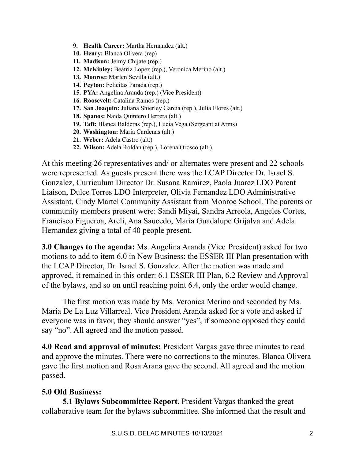- **9. Health Career:** Martha Hernandez (alt.)
- **10. Henry:** Blanca Olivera (rep)
- **11. Madison:** Jeimy Chijate (rep.)
- **12. McKinley:** Beatriz Lopez (rep.), Veronica Merino (alt.)
- **13. Monroe:** Marlen Sevilla (alt.)
- **14. Peyton:** Felicitas Parada (rep.)
- **15. PYA:** Angelina Aranda (rep.) (Vice President)
- **16. Roosevelt:** Catalina Ramos (rep.)
- **17. San Joaquin:** Juliana Shierley Garcia (rep.), Julia Flores (alt.)
- **18. Spanos:** Naida Quintero Herrera (alt.)
- **19. Taft:** Blanca Balderas (rep.), Lucia Vega (Sergeant at Arms)
- **20. Washington:** Maria Cardenas (alt.)
- **21. Weber:** Adela Castro (alt.)
- **22. Wilson:** Adela Roldan (rep.), Lorena Orosco (alt.)

At this meeting 26 representatives and/ or alternates were present and 22 schools were represented. As guests present there was the LCAP Director Dr. Israel S. Gonzalez, Curriculum Director Dr. Susana Ramirez, Paola Juarez LDO Parent Liaison, Dulce Torres LDO Interpreter, Olivia Fernandez LDO Administrative Assistant, Cindy Martel Community Assistant from Monroe School. The parents or community members present were: Sandi Miyai, Sandra Arreola, Angeles Cortes, Francisco Figueroa, Areli, Ana Saucedo, Maria Guadalupe Grijalva and Adela Hernandez giving a total of 40 people present.

**3.0 Changes to the agenda:** Ms. Angelina Aranda (Vice President) asked for two motions to add to item 6.0 in New Business: the ESSER III Plan presentation with the LCAP Director, Dr. Israel S. Gonzalez. After the motion was made and approved, it remained in this order: 6.1 ESSER III Plan, 6.2 Review and Approval of the bylaws, and so on until reaching point 6.4, only the order would change.

The first motion was made by Ms. Veronica Merino and seconded by Ms. Maria De La Luz Villarreal. Vice President Aranda asked for a vote and asked if everyone was in favor, they should answer "yes", if someone opposed they could say "no". All agreed and the motion passed.

**4.0 Read and approval of minutes:** President Vargas gave three minutes to read and approve the minutes. There were no corrections to the minutes. Blanca Olivera gave the first motion and Rosa Arana gave the second. All agreed and the motion passed.

## **5.0 Old Business:**

**5.1 Bylaws Subcommittee Report.** President Vargas thanked the great collaborative team for the bylaws subcommittee. She informed that the result and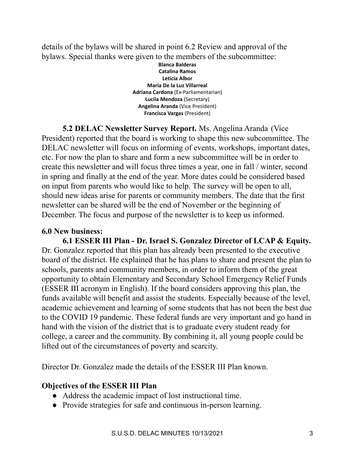details of the bylaws will be shared in point 6.2 Review and approval of the bylaws. Special thanks were given to the members of the subcommittee:

> **Blanca Balderas Catalina Ramos Leticia Albor Maria De la Luz Villarreal Adriana Cardona** (Ex-Parliamentarian) **Lucila Mendoza** (Secretary) **Angelina Aranda** (Vice President) **Francisca Vargas** (President)

**5.2 DELAC Newsletter Survey Report.** Ms. Angelina Aranda (Vice President) reported that the board is working to shape this new subcommittee. The DELAC newsletter will focus on informing of events, workshops, important dates, etc. For now the plan to share and form a new subcommittee will be in order to create this newsletter and will focus three times a year, one in fall / winter, second in spring and finally at the end of the year. More dates could be considered based on input from parents who would like to help. The survey will be open to all, should new ideas arise for parents or community members. The date that the first newsletter can be shared will be the end of November or the beginning of December. The focus and purpose of the newsletter is to keep us informed.

### **6.0 New business:**

**6.1 ESSER III Plan - Dr. Israel S. Gonzalez Director of LCAP & Equity.** Dr. Gonzalez reported that this plan has already been presented to the executive board of the district. He explained that he has plans to share and present the plan to schools, parents and community members, in order to inform them of the great opportunity to obtain Elementary and Secondary School Emergency Relief Funds (ESSER III acronym in English). If the board considers approving this plan, the funds available will benefit and assist the students. Especially because of the level, academic achievement and learning of some students that has not been the best due to the COVID 19 pandemic. These federal funds are very important and go hand in hand with the vision of the district that is to graduate every student ready for college, a career and the community. By combining it, all young people could be lifted out of the circumstances of poverty and scarcity.

Director Dr. Gonzalez made the details of the ESSER III Plan known.

# **Objectives of the ESSER III Plan**

- Address the academic impact of lost instructional time.
- Provide strategies for safe and continuous in-person learning.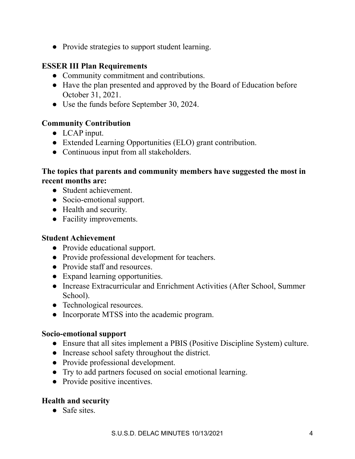• Provide strategies to support student learning.

# **ESSER III Plan Requirements**

- Community commitment and contributions.
- Have the plan presented and approved by the Board of Education before October 31, 2021.
- Use the funds before September 30, 2024.

# **Community Contribution**

- LCAP input.
- Extended Learning Opportunities (ELO) grant contribution.
- Continuous input from all stakeholders.

## **The topics that parents and community members have suggested the most in recent months are:**

- Student achievement.
- Socio-emotional support.
- Health and security.
- Facility improvements.

## **Student Achievement**

- Provide educational support.
- Provide professional development for teachers.
- Provide staff and resources.
- Expand learning opportunities.
- Increase Extracurricular and Enrichment Activities (After School, Summer School).
- Technological resources.
- Incorporate MTSS into the academic program.

## **Socio-emotional support**

- Ensure that all sites implement a PBIS (Positive Discipline System) culture.
- Increase school safety throughout the district.
- Provide professional development.
- Try to add partners focused on social emotional learning.
- Provide positive incentives.

# **Health and security**

● Safe sites.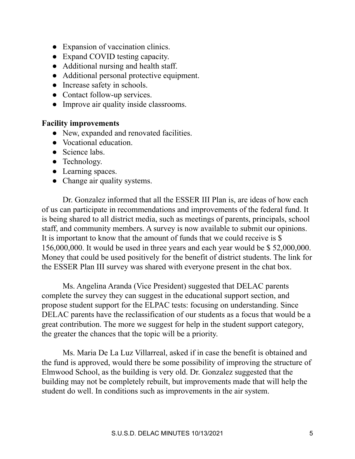- Expansion of vaccination clinics.
- Expand COVID testing capacity.
- Additional nursing and health staff.
- Additional personal protective equipment.
- Increase safety in schools.
- Contact follow-up services.
- Improve air quality inside classrooms.

### **Facility improvements**

- New, expanded and renovated facilities.
- Vocational education.
- Science labs.
- Technology.
- Learning spaces.
- Change air quality systems.

Dr. Gonzalez informed that all the ESSER III Plan is, are ideas of how each of us can participate in recommendations and improvements of the federal fund. It is being shared to all district media, such as meetings of parents, principals, school staff, and community members. A survey is now available to submit our opinions. It is important to know that the amount of funds that we could receive is \$ 156,000,000. It would be used in three years and each year would be \$ 52,000,000. Money that could be used positively for the benefit of district students. The link for the ESSER Plan III survey was shared with everyone present in the chat box.

Ms. Angelina Aranda (Vice President) suggested that DELAC parents complete the survey they can suggest in the educational support section, and propose student support for the ELPAC tests: focusing on understanding. Since DELAC parents have the reclassification of our students as a focus that would be a great contribution. The more we suggest for help in the student support category, the greater the chances that the topic will be a priority.

Ms. Maria De La Luz Villarreal, asked if in case the benefit is obtained and the fund is approved, would there be some possibility of improving the structure of Elmwood School, as the building is very old. Dr. Gonzalez suggested that the building may not be completely rebuilt, but improvements made that will help the student do well. In conditions such as improvements in the air system.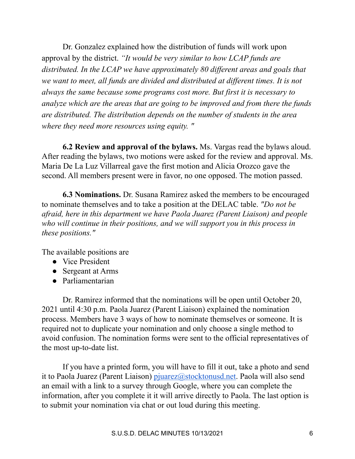Dr. Gonzalez explained how the distribution of funds will work upon approval by the district. *"It would be very similar to how LCAP funds are distributed. In the LCAP we have approximately 80 dif erent areas and goals that we want to meet, all funds are divided and distributed at dif erent times. It is not always the same because some programs cost more. But first it is necessary to analyze which are the areas that are going to be improved and from there the funds are distributed. The distribution depends on the number of students in the area where they need more resources using equity. "*

**6.2 Review and approval of the bylaws.** Ms. Vargas read the bylaws aloud. After reading the bylaws, two motions were asked for the review and approval. Ms. Maria De La Luz Villarreal gave the first motion and Alicia Orozco gave the second. All members present were in favor, no one opposed. The motion passed.

**6.3 Nominations.** Dr. Susana Ramirez asked the members to be encouraged to nominate themselves and to take a position at the DELAC table. *"Do not be afraid, here in this department we have Paola Juarez (Parent Liaison) and people who will continue in their positions, and we will support you in this process in these positions."*

The available positions are

- Vice President
- Sergeant at Arms
- Parliamentarian

Dr. Ramirez informed that the nominations will be open until October 20, 2021 until 4:30 p.m. Paola Juarez (Parent Liaison) explained the nomination process. Members have 3 ways of how to nominate themselves or someone. It is required not to duplicate your nomination and only choose a single method to avoid confusion. The nomination forms were sent to the official representatives of the most up-to-date list.

If you have a printed form, you will have to fill it out, take a photo and send it to Paola Juarez (Parent Liaison) pjuarez  $\hat{\omega}$ stocktonusd.net. Paola will also send an email with a link to a survey through Google, where you can complete the information, after you complete it it will arrive directly to Paola. The last option is to submit your nomination via chat or out loud during this meeting.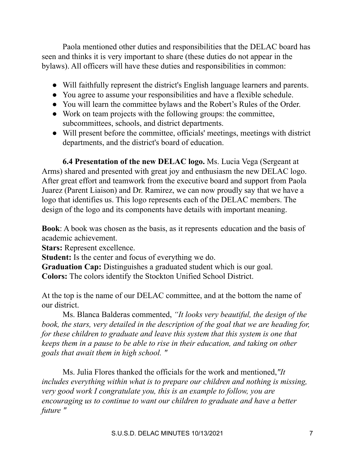Paola mentioned other duties and responsibilities that the DELAC board has seen and thinks it is very important to share (these duties do not appear in the bylaws). All officers will have these duties and responsibilities in common:

- Will faithfully represent the district's English language learners and parents.
- You agree to assume your responsibilities and have a flexible schedule.
- You will learn the committee bylaws and the Robert's Rules of the Order.
- Work on team projects with the following groups: the committee, subcommittees, schools, and district departments.
- Will present before the committee, officials' meetings, meetings with district departments, and the district's board of education.

**6.4 Presentation of the new DELAC logo.** Ms. Lucia Vega (Sergeant at Arms) shared and presented with great joy and enthusiasm the new DELAC logo. After great effort and teamwork from the executive board and support from Paola Juarez (Parent Liaison) and Dr. Ramirez, we can now proudly say that we have a logo that identifies us. This logo represents each of the DELAC members. The design of the logo and its components have details with important meaning.

**Book**: A book was chosen as the basis, as it represents education and the basis of academic achievement.

**Stars:** Represent excellence.

**Student:** Is the center and focus of everything we do.

**Graduation Cap:** Distinguishes a graduated student which is our goal. **Colors:** The colors identify the Stockton Unified School District.

At the top is the name of our DELAC committee, and at the bottom the name of our district.

Ms. Blanca Balderas commented, *"It looks very beautiful, the design of the book, the stars, very detailed in the description of the goal that we are heading for, for these children to graduate and leave this system that this system is one that keeps them in a pause to be able to rise in their education, and taking on other goals that await them in high school. "*

Ms. Julia Flores thanked the officials for the work and mentioned,*"It includes everything within what is to prepare our children and nothing is missing, very good work I congratulate you, this is an example to follow, you are encouraging us to continue to want our children to graduate and have a better future "*